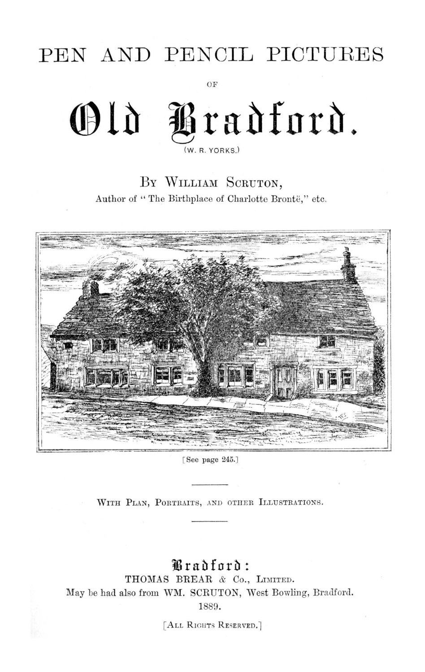## PEN AND PENCIL PICTURES

OF

## Old Pradford.  $(W, R, YORKS)$

BY WILLIAM SCRUTON, Author of "The Birthplace of Charlotte Brontë," etc.



[See page 245.]

WITH PLAN, PORTRAITS, AND OTHER ILLUSTRATIONS.

## Bradford:

THOMAS BREAR & Co., LIMITED. May be had also from WM. SCRUTON, West Bowling, Bradford.

1889.

[ALL RIGHTS RESERVED.]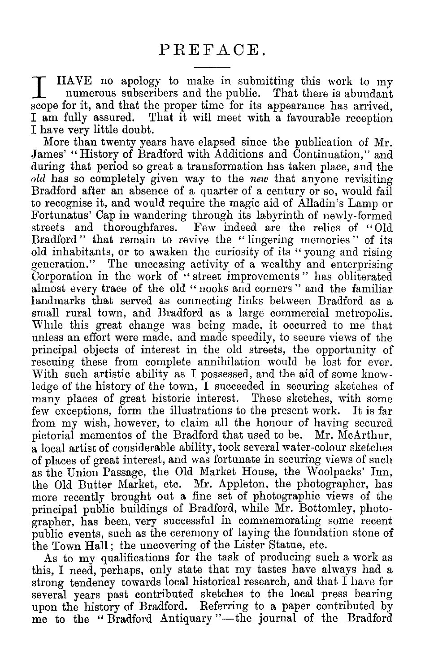I HAVE no apology to make in submitting this work to my numerous subscribers and the public. That there is abundant scope for it, and that the proper time for its appearance has arrived. I am fully assured. That it will meet with a favourable reception I have very little doubt.

More than twenty years have elapsed since the publication of Mr. James' " History of Bradford with Additions and Continuation," and during that period so great a transformation has taken place, and the *old* has so completely given way to the *new* that anyone revisiting Bradford after an absence of a quarter of a century or so, would fail to recognise it, and would require the magic aid of Alladin's Lamp or Fortunatus' Cap in wandering through its labyrinth of newly-formed streets and thoroughfares. Few indeed are the relics of "Old Bradford " that remain to revive the "lingering memories" of its old inhabitants, or to awaken the curiosity of its " young and rising generation." The unceasing activity of a wealthy and enterprising Corporation in the work of "street improvements" has obliterated almost every trace of the old "nooks and corners" and the familiar landmarks that served as connecting links between Bradford as a small rural town, and Bradford as a large commercial metropolis. While this great change was being made, it occurred to me that unless an effort were made, and made speedily, to secure views of the principal objects of interest in the old streets, the opportunity of rescuing these from complete annihilation would be lost for ever. With such artistic ability as I possessed, and the aid of some knowledge of the history of the town, I succeeded in securing sketches of many places of great historic interest. These sketches, with some few exceptions, form the illustrations to the present work. It is far from my wish, however, to claim all the honour of having secured pictorial mementos of the Bradford that used to be. Mr. McArthur, a local artist of considerable ability, took several water-colour sketches of places of great interest, and was fortunate in securing views of such as the Union Passage, the Old Market House, the Woolpacks' Inn, the Old Butter Market, etc. Mr. Appleton, the photographer, has more recently brought out a fine set of photographic views of the principal public buildings of Bradford, while Mr. Bottomley, photographer, has been, very successful in commemorating some recent public events, such as the ceremony of laying the foundation stone of the Town Hall ; the uncovering of the Lister Statue, etc.

As to my qualifications for the task of producing such a work as this, I need, perhaps, only state that my tastes have always had a strong tendency towards local historical research, and that I have for several years past contributed sketches to the local press bearing upon the history of Bradford. Referring to a paper contributed by me to the " Bradford Antiquary "—the journal of the Bradford